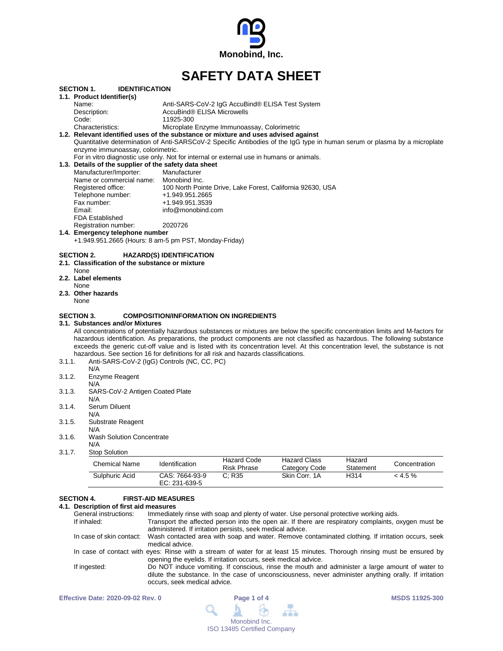

# **SAFETY DATA SHEET**

|        | <b>SECTION 1.</b>    | <b>IDENTIFICATION</b><br>1.1. Product Identifier(s)                                          |                                                                                                                                  |
|--------|----------------------|----------------------------------------------------------------------------------------------|----------------------------------------------------------------------------------------------------------------------------------|
|        | Name:                |                                                                                              | Anti-SARS-CoV-2 IgG AccuBind® ELISA Test System                                                                                  |
|        |                      |                                                                                              | AccuBind® ELISA Microwells                                                                                                       |
|        |                      | Description:                                                                                 |                                                                                                                                  |
|        | Code:                |                                                                                              | 11925-300                                                                                                                        |
|        |                      | Characteristics:                                                                             | Microplate Enzyme Immunoassay, Colorimetric                                                                                      |
|        |                      |                                                                                              | 1.2. Relevant identified uses of the substance or mixture and uses advised against                                               |
|        |                      |                                                                                              | Quantitative determination of Anti-SARSCoV-2 Specific Antibodies of the IgG type in human serum or plasma by a microplate        |
|        |                      | enzyme immunoassay, colorimetric.                                                            |                                                                                                                                  |
|        |                      |                                                                                              | For in vitro diagnostic use only. Not for internal or external use in humans or animals.                                         |
|        |                      | 1.3. Details of the supplier of the safety data sheet                                        |                                                                                                                                  |
|        |                      | Manufacturer/Importer:                                                                       | Manufacturer                                                                                                                     |
|        |                      | Name or commercial name: Monobind Inc.                                                       |                                                                                                                                  |
|        |                      | Registered office:                                                                           | 100 North Pointe Drive, Lake Forest, California 92630, USA                                                                       |
|        |                      | Telephone number:                                                                            | +1.949.951.2665                                                                                                                  |
|        |                      | Fax number:                                                                                  | +1.949.951.3539                                                                                                                  |
|        | Email:               |                                                                                              | info@monobind.com                                                                                                                |
|        |                      | <b>FDA Established</b>                                                                       |                                                                                                                                  |
|        |                      | Registration number:                                                                         | 2020726                                                                                                                          |
|        |                      | 1.4. Emergency telephone number                                                              |                                                                                                                                  |
|        |                      |                                                                                              | +1.949.951.2665 (Hours: 8 am-5 pm PST, Monday-Friday)                                                                            |
|        | None<br>None<br>None | 2.1. Classification of the substance or mixture<br>2.2. Label elements<br>2.3. Other hazards |                                                                                                                                  |
|        | <b>SECTION 3.</b>    | 3.1. Substances and/or Mixtures                                                              | <b>COMPOSITION/INFORMATION ON INGREDIENTS</b>                                                                                    |
|        |                      |                                                                                              | All concentrations of potentially hazardous substances or mixtures are below the specific concentration limits and M-factors for |
|        |                      |                                                                                              | hazardous identification. As preparations, the product components are not classified as hazardous. The following substance       |
|        |                      |                                                                                              | exceeds the generic cut-off value and is listed with its concentration level. At this concentration level, the substance is not  |
|        |                      |                                                                                              | hazardous. See section 16 for definitions for all risk and hazards classifications.                                              |
| 3.1.1. |                      | Anti-SARS-CoV-2 (IgG) Controls (NC, CC, PC)                                                  |                                                                                                                                  |
|        |                      | N/A                                                                                          |                                                                                                                                  |
| 3.1.2. |                      | Enzyme Reagent                                                                               |                                                                                                                                  |
|        |                      | N/A                                                                                          |                                                                                                                                  |
| 3.1.3. |                      | SARS-CoV-2 Antigen Coated Plate                                                              |                                                                                                                                  |
|        |                      | N/A                                                                                          |                                                                                                                                  |
| 3.1.4. |                      | Serum Diluent                                                                                |                                                                                                                                  |
|        |                      | N/A                                                                                          |                                                                                                                                  |
| 3.1.5. |                      | Substrate Reagent                                                                            |                                                                                                                                  |
|        |                      | N/A                                                                                          |                                                                                                                                  |
| 3.1.6. |                      | <b>Wash Solution Concentrate</b>                                                             |                                                                                                                                  |
|        |                      | N/A                                                                                          |                                                                                                                                  |
| 3.1.7. |                      | <b>Stop Solution</b>                                                                         |                                                                                                                                  |
|        |                      |                                                                                              | $11 - 22$                                                                                                                        |

| Chemical Name  | Identification                    | Hazard Code<br><b>Risk Phrase</b> | <b>Hazard Class</b><br>Category Code | Hazard<br>Statement | Concentration |
|----------------|-----------------------------------|-----------------------------------|--------------------------------------|---------------------|---------------|
| Sulphuric Acid | CAS: 7664-93-9<br>EC: $231-639-5$ | C: R35                            | Skin Corr. 1A                        | H314                | $< 4.5 \%$    |

# **SECTION 4. FIRST-AID MEASURES**

# **4.1. Description of first aid measures**

| General instructions:    | Immediately rinse with soap and plenty of water. Use personal protective working aids.                                                                                                                                                   |
|--------------------------|------------------------------------------------------------------------------------------------------------------------------------------------------------------------------------------------------------------------------------------|
| If inhaled:              | Transport the affected person into the open air. If there are respiratory complaints, oxygen must be<br>administered. If irritation persists, seek medical advice.                                                                       |
| In case of skin contact: | Wash contacted area with soap and water. Remove contaminated clothing. If irritation occurs, seek<br>medical advice.                                                                                                                     |
|                          | In case of contact with eyes: Rinse with a stream of water for at least 15 minutes. Thorough rinsing must be ensured by<br>opening the eyelids. If irritation occurs, seek medical advice.                                               |
| If ingested:             | Do NOT induce vomiting. If conscious, rinse the mouth and administer a large amount of water to<br>dilute the substance. In the case of unconsciousness, never administer anything orally. If irritation<br>occurs, seek medical advice. |

| <b>Effective Date: 2020-09-02 Rev. 0</b> | Page 1 of 4                        | <b>MSDS 11925-300</b> |
|------------------------------------------|------------------------------------|-----------------------|
|                                          | $Q_1$ $Q_2$ $Q_3$                  |                       |
|                                          | Monobind Inc.                      |                       |
|                                          | <b>ISO 13485 Certified Company</b> |                       |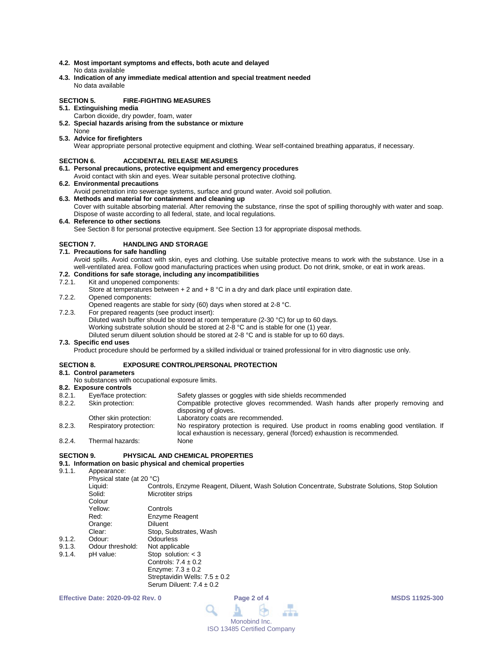- **4.2. Most important symptoms and effects, both acute and delayed** No data available
- **4.3. Indication of any immediate medical attention and special treatment needed** No data available

# **SECTION 5. FIRE-FIGHTING MEASURES**

- **5.1. Extinguishing media**
	- Carbon dioxide, dry powder, foam, water
- **5.2. Special hazards arising from the substance or mixture** None
- **5.3. Advice for firefighters**

Wear appropriate personal protective equipment and clothing. Wear self-contained breathing apparatus, if necessary.

# **SECTION 6. ACCIDENTAL RELEASE MEASURES**

- **6.1. Personal precautions, protective equipment and emergency procedures**
- Avoid contact with skin and eyes. Wear suitable personal protective clothing.
- **6.2. Environmental precautions**
	- Avoid penetration into sewerage systems, surface and ground water. Avoid soil pollution.
- **6.3. Methods and material for containment and cleaning up** Cover with suitable absorbing material. After removing the substance, rinse the spot of spilling thoroughly with water and soap. Dispose of waste according to all federal, state, and local regulations.
- **6.4. Reference to other sections**

See Section 8 for personal protective equipment. See Section 13 for appropriate disposal methods.

# **SECTION 7. HANDLING AND STORAGE**

**7.1. Precautions for safe handling**

Avoid spills. Avoid contact with skin, eyes and clothing. Use suitable protective means to work with the substance. Use in a well-ventilated area. Follow good manufacturing practices when using product. Do not drink, smoke, or eat in work areas.

# **7.2. Conditions for safe storage, including any incompatibilities**

#### Kit and unopened components:

- Store at temperatures between  $+ 2$  and  $+ 8$  °C in a dry and dark place until expiration date.
- 7.2.2. Opened components:

Opened reagents are stable for sixty (60) days when stored at 2-8 °C.

- 7.2.3. For prepared reagents (see product insert):
	- Diluted wash buffer should be stored at room temperature (2-30 °C) for up to 60 days.

Working substrate solution should be stored at 2-8 °C and is stable for one (1) year.

Diluted serum diluent solution should be stored at 2-8 °C and is stable for up to 60 days.

# **7.3. Specific end uses**

Product procedure should be performed by a skilled individual or trained professional for in vitro diagnostic use only.

### **SECTION 8. EXPOSURE CONTROL/PERSONAL PROTECTION**

- **8.1. Control parameters**
	- No substances with occupational exposure limits.

# **8.2. Exposure controls**

- Safety glasses or goggles with side shields recommended 8.2.2. Skin protection: Compatible protective gloves recommended. Wash hands after properly removing and
- disposing of gloves.
- Other skin protection: Laboratory coats are recommended.<br>
Respiratory protection: No respiratory protection is required

Serum Diluent:  $7.4 \pm 0.2$ 

- 8.2.3. Respiratory protection: No respiratory protection is required. Use product in rooms enabling good ventilation. If local exhaustion is necessary, general (forced) exhaustion is recommended. 8.2.4. Thermal hazards:
- 

# **SECTION 9. PHYSICAL AND CHEMICAL PROPERTIES**

# **9.1. Information on basic physical and chemical properties**

Appearance:

Physical state (at 20 °C)<br>Liquid: Con Liquid: Controls, Enzyme Reagent, Diluent, Wash Solution Concentrate, Substrate Solutions, Stop Solution<br>Solid: Microtiter strips **Microtiter strips** Colour<br>Yellow Controls Red: Enzyme Reagent Orange: Diluent Clear: Stop, Substrates, Wash<br>
Odour: Odourless 9.1.2. Odour: Odourless<br>9.1.3. Odour threshold: Not applicable 9.1.3. Odour threshold:<br>9.1.4. pH value: Stop solution:  $<$  3 Controls:  $7.4 \pm 0.2$ Enzyme:  $7.3 \pm 0.2$ Streptavidin Wells: 7.5 ± 0.2

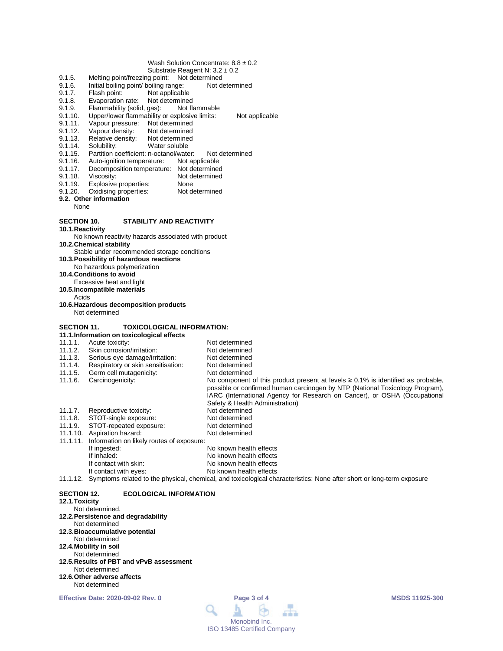### Wash Solution Concentrate: 8.8 ± 0.2

- Substrate Reagent N: 3.2 ± 0.2
- 9.1.5. Melting point/freezing point: Not determined<br>9.1.6. Initial boiling point/ boiling range: Not de
- 9.1.6. Initial boiling point/ boiling range: Not determined<br>9.1.7. Flash point: Not applicable
- 9.1.7. Flash point: Not applicable<br>9.1.8. Evaporation rate: Not determined
- 9.1.8. Evaporation rate: Not determined<br>9.1.9. Flammability (solid, gas): Not flammable
- 9.1.9. Flammability (solid, gas):<br>9.1.10. Upper/lower flammability
- 9.1.10. Upper/lower flammability or explosive limits: Not applicable<br>9.1.11. Vapour pressure: Not determined
- 9.1.11. Vapour pressure: Not determined<br>9.1.12. Vapour density: Not determined
- 9.1.12. Vapour density:<br>9.1.13. Relative density:
- 9.1.13. Relative density: Not determined<br>9.1.14. Solubility: Water soluble
- Water soluble
- 9.1.15. Partition coefficient: n-octanol/water: Not determined
- 9.1.16. Auto-ignition temperature: Not applicable
- 9.1.17. Decomposition temperature: Not determined
- 9.1.18. Viscosity: Not determined<br>9.1.19. Explosive properties: None
- 9.1.19. Explosive properties: None<br>9.1.20. Oxidising properties: Not determined
- Oxidising properties:
- **9.2. Other information**
	- None

#### **SECTION 10. STABILITY AND REACTIVITY**

- **10.1.Reactivity**
- No known reactivity hazards associated with product
- **10.2.Chemical stability**
- Stable under recommended storage conditions
- **10.3.Possibility of hazardous reactions** No hazardous polymerization
- **10.4.Conditions to avoid**
- Excessive heat and light
- **10.5.Incompatible materials**
- Acids
- **10.6.Hazardous decomposition products** Not determined

#### **SECTION 11. TOXICOLOGICAL INFORMATION:**

|          | 11.1. Information on toxicological effects |                                                                                                                                                                                                                                                                                        |  |  |  |
|----------|--------------------------------------------|----------------------------------------------------------------------------------------------------------------------------------------------------------------------------------------------------------------------------------------------------------------------------------------|--|--|--|
| 11.1.1.  | Acute toxicity:                            | Not determined                                                                                                                                                                                                                                                                         |  |  |  |
| 11.1.2.  | Skin corrosion/irritation:                 | Not determined                                                                                                                                                                                                                                                                         |  |  |  |
| 11.1.3.  | Serious eye damage/irritation:             | Not determined                                                                                                                                                                                                                                                                         |  |  |  |
| 11.1.4.  | Respiratory or skin sensitisation:         | Not determined                                                                                                                                                                                                                                                                         |  |  |  |
| 11.1.5.  | Germ cell mutagenicity:                    | Not determined                                                                                                                                                                                                                                                                         |  |  |  |
| 11.1.6.  | Carcinogenicity:                           | No component of this product present at levels $\geq 0.1\%$ is identified as probable,<br>possible or confirmed human carcinogen by NTP (National Toxicology Program),<br>IARC (International Agency for Research on Cancer), or OSHA (Occupational<br>Safety & Health Administration) |  |  |  |
| 11.1.7.  | Reproductive toxicity:                     | Not determined                                                                                                                                                                                                                                                                         |  |  |  |
| 11.1.8.  | STOT-single exposure:                      | Not determined                                                                                                                                                                                                                                                                         |  |  |  |
| 11.1.9.  | STOT-repeated exposure:                    | Not determined                                                                                                                                                                                                                                                                         |  |  |  |
| 11.1.10. | Aspiration hazard:                         | Not determined                                                                                                                                                                                                                                                                         |  |  |  |
| 11.1.11. | Information on likely routes of exposure:  |                                                                                                                                                                                                                                                                                        |  |  |  |
|          | If ingested:                               | No known health effects                                                                                                                                                                                                                                                                |  |  |  |
|          | If inhaled:                                | No known health effects                                                                                                                                                                                                                                                                |  |  |  |
|          | If contact with skin:                      | No known health effects                                                                                                                                                                                                                                                                |  |  |  |
|          | If contact with eyes:                      | No known health effects                                                                                                                                                                                                                                                                |  |  |  |
|          |                                            |                                                                                                                                                                                                                                                                                        |  |  |  |

11.1.12. Symptoms related to the physical, chemical, and toxicological characteristics: None after short or long-term exposure

#### **SECTION 12. ECOLOGICAL INFORMATION**

# **12.1.Toxicity**

- Not determined.
- **12.2.Persistence and degradability**
- Not determined
- **12.3.Bioaccumulative potential**
- Not determined **12.4.Mobility in soil**
- Not determined
- **12.5.Results of PBT and vPvB assessment** Not determined
- **12.6.Other adverse affects**
- Not determined

```
Effective Date: 2020-09-02 Rev. 0 Page 3 of 4 MSDS 11925-300
```